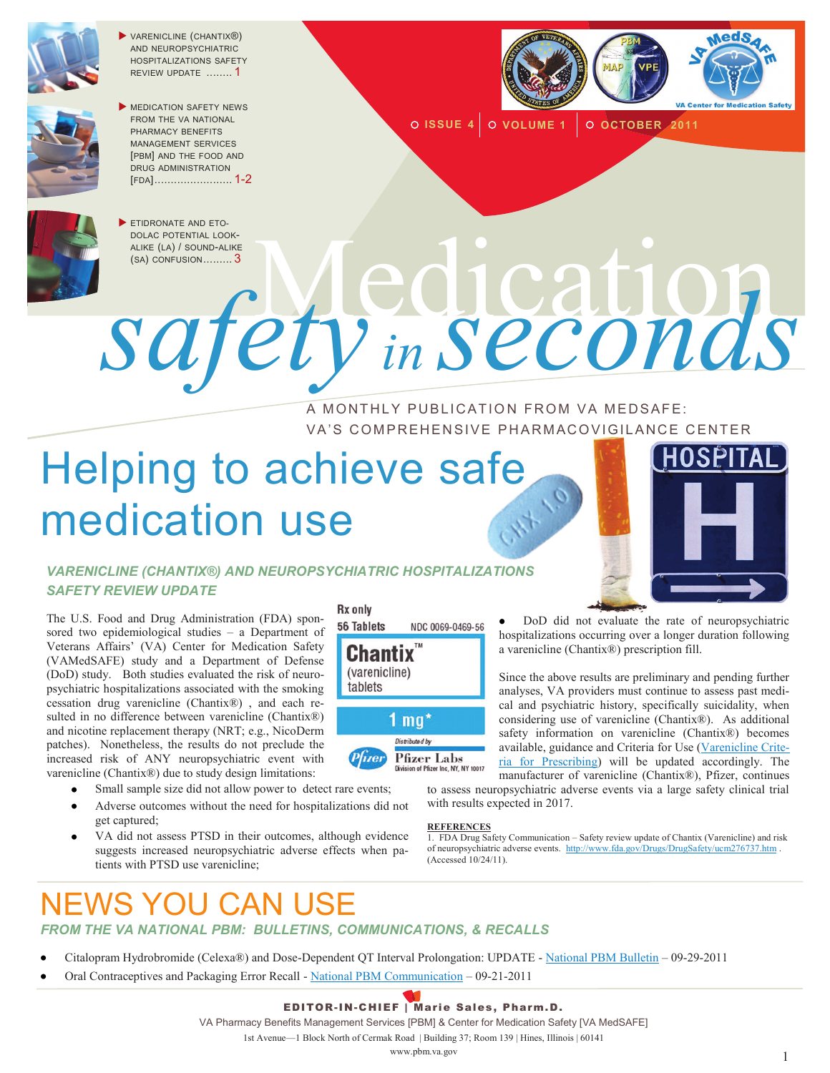

**VARENICLINE (CHANTIX®)** AND NEUROPSYCHIATRIC HOSPITALIZATIONS SAFETY REVIEW UPDATE ........ 1



MEDICATION SAFETY NEWS FROM THE VA NATIONAL PHARMACY BENEFITS MANAGEMENT SERVICES [PBM] AND THE FOOD AND DRUG ADMINISTRATION [FDA]........................ 1-2



**O ISSUE 4** O VOLUME 1 O OCTOBER 2011



ETIDRONATE AND ETO-

DOLAC POTENTIAL LOOK-ALIKE (LA) / SOUND-ALIKE DOLAC POTENTIAL LOOK-<br>ALIKE (LA) / SOUND-ALIKE<br>NOTED TRINA LOOK*safety in seconds*

> A MONTHLY PUBLICATION FROM VA MEDSAFE: VA'S COMPREHENSIVE PHARMACOVIGILANCE CENTER

# Helping to achieve safe medication use



#### *VARENICLINE (CHANTIX®) AND NEUROPSYCHIATRIC HOSPITALIZATIONS SAFETY REVIEW UPDATE*

The U.S. Food and Drug Administration (FDA) sponsored two epidemiological studies – a Department of Veterans Affairs' (VA) Center for Medication Safety (VAMedSAFE) study and a Department of Defense (DoD) study. Both studies evaluated the risk of neuropsychiatric hospitalizations associated with the smoking cessation drug varenicline (Chantix®) , and each resulted in no difference between varenicline (Chantix®) and nicotine replacement therapy (NRT; e.g., NicoDerm patches). Nonetheless, the results do not preclude the increased risk of ANY neuropsychiatric event with varenicline (Chantix®) due to study design limitations:

- Small sample size did not allow power to detect rare events;
- Adverse outcomes without the need for hospitalizations did not get captured;
- VA did not assess PTSD in their outcomes, although evidence suggests increased neuropsychiatric adverse effects when patients with PTSD use varenicline;

#### **Rx** only



DoD did not evaluate the rate of neuropsychiatric hospitalizations occurring over a longer duration following a varenicline (Chantix®) prescription fill.

Since the above results are preliminary and pending further analyses, VA providers must continue to assess past medical and psychiatric history, specifically suicidality, when considering use of varenicline (Chantix®). As additional safety information on varenicline (Chantix®) becomes available, guidance and Criteria for Use [\(Varenicline Crite](http://www.pbm.va.gov/Clinical%20Guidance/Criteria%20For%20Use/Varenicline%20Criteria%20for%20Prescribing.doc)[ria for Prescribing\)](http://www.pbm.va.gov/Clinical%20Guidance/Criteria%20For%20Use/Varenicline%20Criteria%20for%20Prescribing.doc) will be updated accordingly. The manufacturer of varenicline (Chantix®), Pfizer, continues

to assess neuropsychiatric adverse events via a large safety clinical trial with results expected in 2017.

#### **REFERENCES**

1. FDA Drug Safety Communication – Safety review update of Chantix (Varenicline) and risk of neuropsychiatric adverse events. <http://www.fda.gov/Drugs/DrugSafety/ucm276737.htm> . (Accessed 10/24/11).

### NEWS YOU CAN USE

#### *FROM THE VA NATIONAL PBM: BULLETINS, COMMUNICATIONS, & RECALLS*

- Citalopram Hydrobromide (Celexa®) and Dose-Dependent QT Interval Prolongation: UPDATE [National PBM Bulletin](http://www.pbm.va.gov/vamedsafe/Updated%20Citalopram%20and%20Dose-Dependent%20QT%20Interval%20Prolongation_NATIONAL%20PBM%20BULLETIN_FINAL_092911.pdf) 09-29-2011
- Oral Contraceptives and Packaging Error Recall [National PBM Communication](http://www.pbm.va.gov/vamedsafe/Oral%20Contraceptives%20and%20Packaging%20Error%20Recall_NATIONAL%20PBM%20COMMUNICATION_092111_FINAL.PDF) 09-21-2011

#### EDITOR-IN-CHIEF | Marie Sales, Pharm.D.

VA Pharmacy Benefits Management Services [PBM] & Center for Medication Safety [VA MedSAFE]

1st Avenue—1 Block North of Cermak Road | Building 37; Room 139 | Hines, Illinois | 60141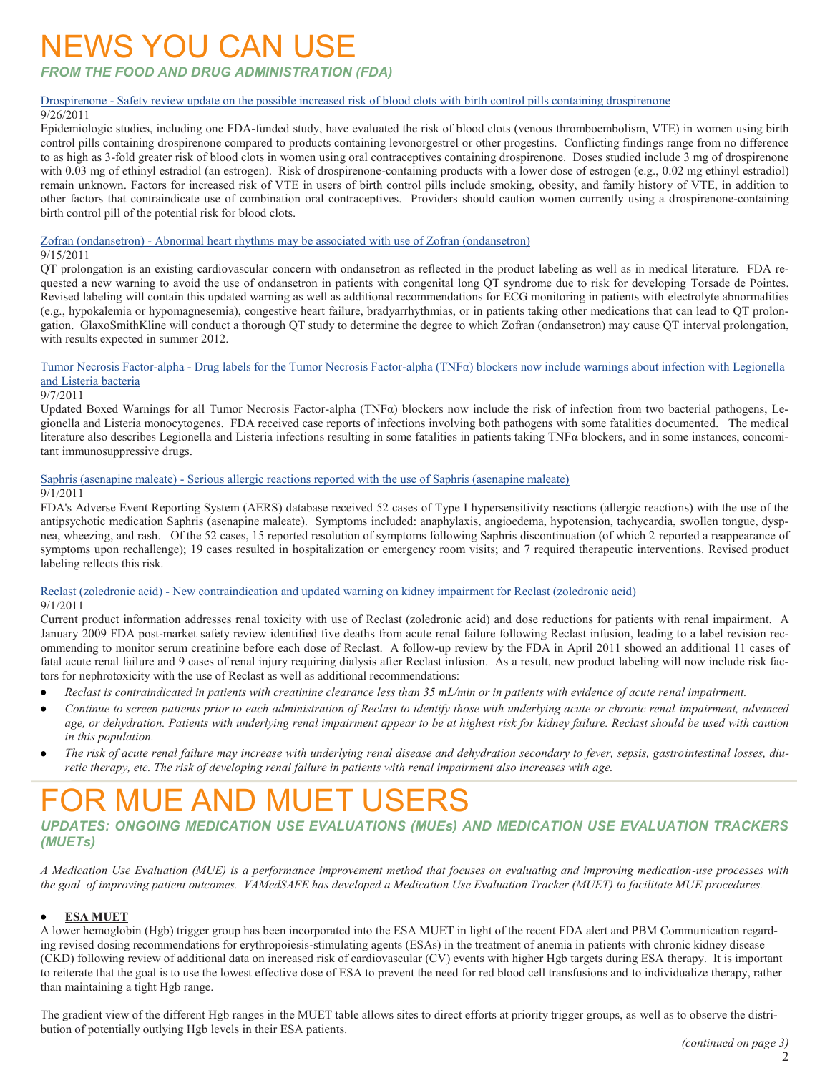### NEWS YOU CAN USE

*FROM THE FOOD AND DRUG ADMINISTRATION (FDA)*

#### Drospirenone - [Safety review update on the possible increased risk of blood clots with birth control pills containing drospirenone](http://www.fda.gov/Drugs/DrugSafety/ucm273021.htm)

#### 9/26/2011

Epidemiologic studies, including one FDA-funded study, have evaluated the risk of blood clots (venous thromboembolism, VTE) in women using birth control pills containing drospirenone compared to products containing levonorgestrel or other progestins. Conflicting findings range from no difference to as high as 3-fold greater risk of blood clots in women using oral contraceptives containing drospirenone. Doses studied include 3 mg of drospirenone with 0.03 mg of ethinyl estradiol (an estrogen). Risk of drospirenone-containing products with a lower dose of estrogen (e.g., 0.02 mg ethinyl estradiol) remain unknown. Factors for increased risk of VTE in users of birth control pills include smoking, obesity, and family history of VTE, in addition to other factors that contraindicate use of combination oral contraceptives. Providers should caution women currently using a drospirenone-containing birth control pill of the potential risk for blood clots.

#### Zofran (ondansetron) - [Abnormal heart rhythms may be associated with use of Zofran \(ondansetron\)](http://www.fda.gov/Drugs/DrugSafety/ucm271913.htm)

#### 9/15/2011

QT prolongation is an existing cardiovascular concern with ondansetron as reflected in the product labeling as well as in medical literature. FDA requested a new warning to avoid the use of ondansetron in patients with congenital long QT syndrome due to risk for developing Torsade de Pointes. Revised labeling will contain this updated warning as well as additional recommendations for ECG monitoring in patients with electrolyte abnormalities (e.g., hypokalemia or hypomagnesemia), congestive heart failure, bradyarrhythmias, or in patients taking other medications that can lead to QT prolongation. GlaxoSmithKline will conduct a thorough QT study to determine the degree to which Zofran (ondansetron) may cause QT interval prolongation, with results expected in summer 2012.

#### Tumor Necrosis Factor-alpha - Drug labels for the Tumor Necrosis Factor-alpha (TNFα) [blockers now include warnings about infection with Legionella](http://www.fda.gov/Drugs/DrugSafety/ucm270849.htm)  [and Listeria bacteria](http://www.fda.gov/Drugs/DrugSafety/ucm270849.htm)

#### 9/7/2011

Updated Boxed Warnings for all Tumor Necrosis Factor-alpha (TNFα) blockers now include the risk of infection from two bacterial pathogens, Legionella and Listeria monocytogenes. FDA received case reports of infections involving both pathogens with some fatalities documented. The medical literature also describes Legionella and Listeria infections resulting in some fatalities in patients taking TNFα blockers, and in some instances, concomitant immunosuppressive drugs.

#### Saphris (asenapine maleate) - [Serious allergic reactions reported with the use of Saphris \(asenapine maleate\)](http://www.fda.gov/Drugs/DrugSafety/ucm270243.htm)

#### 9/1/2011

FDA's Adverse Event Reporting System (AERS) database received 52 cases of Type I hypersensitivity reactions (allergic reactions) with the use of the antipsychotic medication Saphris (asenapine maleate). Symptoms included: anaphylaxis, angioedema, hypotension, tachycardia, swollen tongue, dyspnea, wheezing, and rash. Of the 52 cases, 15 reported resolution of symptoms following Saphris discontinuation (of which 2 reported a reappearance of symptoms upon rechallenge); 19 cases resulted in hospitalization or emergency room visits; and 7 required therapeutic interventions. Revised product labeling reflects this risk.

#### Reclast (zoledronic acid) - [New contraindication and updated warning on kidney impairment for Reclast \(zoledronic acid\)](http://www.fda.gov/Drugs/DrugSafety/ucm270199.htm) 9/1/2011

Current product information addresses renal toxicity with use of Reclast (zoledronic acid) and dose reductions for patients with renal impairment. A January 2009 FDA post-market safety review identified five deaths from acute renal failure following Reclast infusion, leading to a label revision recommending to monitor serum creatinine before each dose of Reclast. A follow-up review by the FDA in April 2011 showed an additional 11 cases of fatal acute renal failure and 9 cases of renal injury requiring dialysis after Reclast infusion. As a result, new product labeling will now include risk factors for nephrotoxicity with the use of Reclast as well as additional recommendations:

- *Reclast is contraindicated in patients with creatinine clearance less than 35 mL/min or in patients with evidence of acute renal impairment.*  $\bullet$
- $\bullet$ *Continue to screen patients prior to each administration of Reclast to identify those with underlying acute or chronic renal impairment, advanced age, or dehydration. Patients with underlying renal impairment appear to be at highest risk for kidney failure. Reclast should be used with caution in this population.*
- *The risk of acute renal failure may increase with underlying renal disease and dehydration secondary to fever, sepsis, gastrointestinal losses, diuretic therapy, etc. The risk of developing renal failure in patients with renal impairment also increases with age.*

### OR MUF AND MUFT USFRS

*UPDATES: ONGOING MEDICATION USE EVALUATIONS (MUEs) AND MEDICATION USE EVALUATION TRACKERS (MUETs)* 

*A Medication Use Evaluation (MUE) is a performance improvement method that focuses on evaluating and improving medication-use processes with the goal of improving patient outcomes. VAMedSAFE has developed a Medication Use Evaluation Tracker (MUET) to facilitate MUE procedures.* 

#### **ESA MUET**   $\bullet$

A lower hemoglobin (Hgb) trigger group has been incorporated into the ESA MUET in light of the recent FDA alert and PBM Communication regarding revised dosing recommendations for erythropoiesis-stimulating agents (ESAs) in the treatment of anemia in patients with chronic kidney disease (CKD) following review of additional data on increased risk of cardiovascular (CV) events with higher Hgb targets during ESA therapy. It is important to reiterate that the goal is to use the lowest effective dose of ESA to prevent the need for red blood cell transfusions and to individualize therapy, rather than maintaining a tight Hgb range.

The gradient view of the different Hgb ranges in the MUET table allows sites to direct efforts at priority trigger groups, as well as to observe the distribution of potentially outlying Hgb levels in their ESA patients.